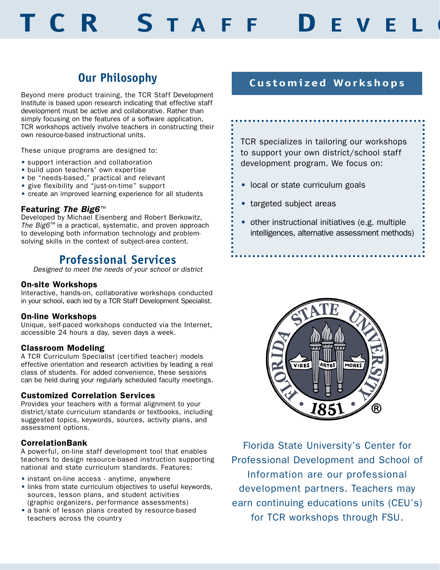# **TCR S TAFF D EVELO**

## **Our Philosophy**

Beyond mere product training, the TCR Staff Development Institute is based upon research indicating that effective staff development must be active and collaborative. Rather than simply focusing on the features of a software application, TCR workshops actively involve teachers in constructing their own resource-based instructional units.

These unique programs are designed to:

- support interaction and collaboration
- build upon teachers' own expertise
- be "needs-based," practical and relevant
- Be mode based, present in the support
- create an improved learning experience for all students

#### Featuring The Big6™

Developed by Michael Eisenberg and Robert Berkowitz, The Big6™ is a practical, systematic, and proven approach to developing both information technology and problemsolving skills in the context of subject-area content.

## **Professional Services**

Designed to meet the needs of your school or district

#### On-site Workshops

Interactive, hands-on, collaborative workshops conducted in your school, each led by a TCR Staff Development Specialist.

#### On-line Workshops

Unique, self-paced workshops conducted via the Internet, accessible 24 hours a day, seven days a week.

#### Classroom Modeling

A TCR Curriculum Specialist (certified teacher) models effective orientation and research activities by leading a real class of students. For added convenience, these sessions can be held during your regularly scheduled faculty meetings.

#### Customized Correlation Services

Provides your teachers with a formal alignment to your district/state curriculum standards or textbooks, including suggested topics, keywords, sources, activity plans, and assessment options.

#### CorrelationBank

A powerful, on-line staff development tool that enables teachers to design resource-based instruction supporting national and state curriculum standards. Features:

- instant on-line access anytime, anywhere
- links from state curriculum objectives to useful keywords, sources, lesson plans, and student activities (graphic organizers, performance assessments)
- a bank of lesson plans created by resource-based teachers across the country

### **Customized Workshops**

TCR specializes in tailoring our workshops to support your own district/school staff development program. We focus on:

- local or state curriculum goals
- targeted subject areas
- other instructional initiatives (e.g. multiple intelligences, alternative assessment methods)



Florida State University's Center for Professional Development and School of Information are our professional development partners. Teachers may earn continuing educations units (CEU's) for TCR workshops through FSU.